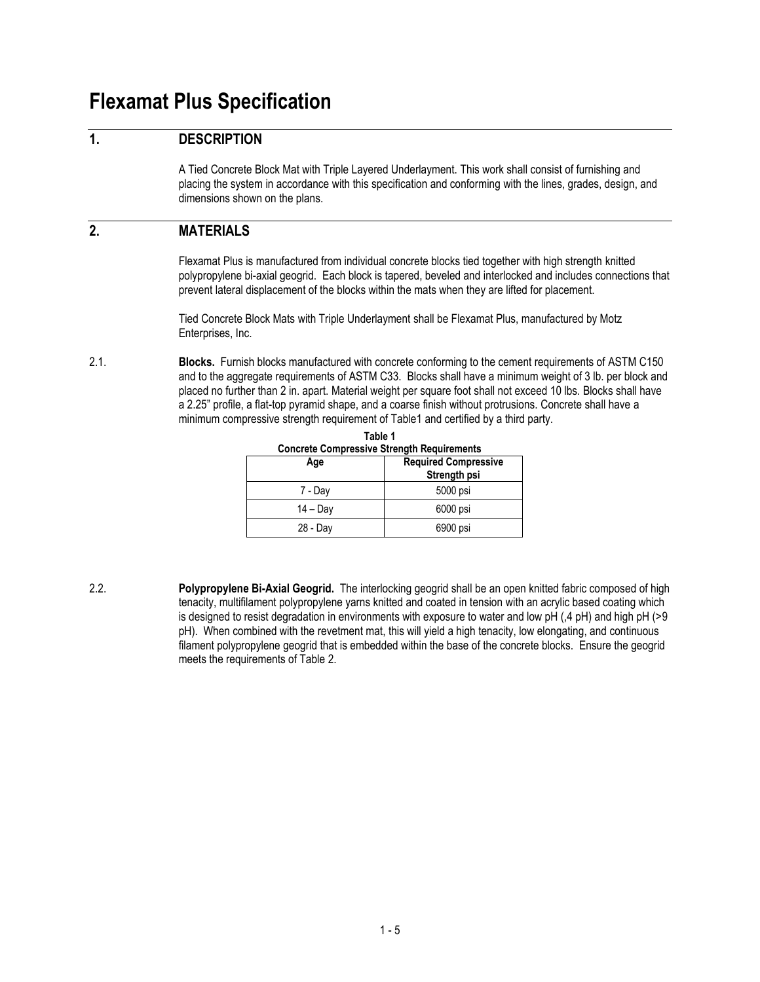# **Flexamat Plus Specification**

### **1. DESCRIPTION**

A Tied Concrete Block Mat with Triple Layered Underlayment. This work shall consist of furnishing and placing the system in accordance with this specification and conforming with the lines, grades, design, and dimensions shown on the plans.

#### **2. MATERIALS**

Flexamat Plus is manufactured from individual concrete blocks tied together with high strength knitted polypropylene bi-axial geogrid. Each block is tapered, beveled and interlocked and includes connections that prevent lateral displacement of the blocks within the mats when they are lifted for placement.

Tied Concrete Block Mats with Triple Underlayment shall be Flexamat Plus, manufactured by Motz Enterprises, Inc.

2.1. **Blocks.** Furnish blocks manufactured with concrete conforming to the cement requirements of ASTM C150 and to the aggregate requirements of ASTM C33. Blocks shall have a minimum weight of 3 lb. per block and placed no further than 2 in. apart. Material weight per square foot shall not exceed 10 lbs. Blocks shall have a 2.25" profile, a flat-top pyramid shape, and a coarse finish without protrusions. Concrete shall have a minimum compressive strength requirement of Table1 and certified by a third party.

| Age        | <b>Required Compressive</b><br>Strength psi |  |
|------------|---------------------------------------------|--|
| 7 - Day    | 5000 psi                                    |  |
| $14 - Day$ | 6000 psi                                    |  |
| 28 - Day   | 6900 psi                                    |  |

**Table 1 Concrete Compressive Strength Requirements**

2.2. **Polypropylene Bi-Axial Geogrid.** The interlocking geogrid shall be an open knitted fabric composed of high tenacity, multifilament polypropylene yarns knitted and coated in tension with an acrylic based coating which is designed to resist degradation in environments with exposure to water and low pH (,4 pH) and high pH (>9 pH). When combined with the revetment mat, this will yield a high tenacity, low elongating, and continuous filament polypropylene geogrid that is embedded within the base of the concrete blocks. Ensure the geogrid meets the requirements of Table 2.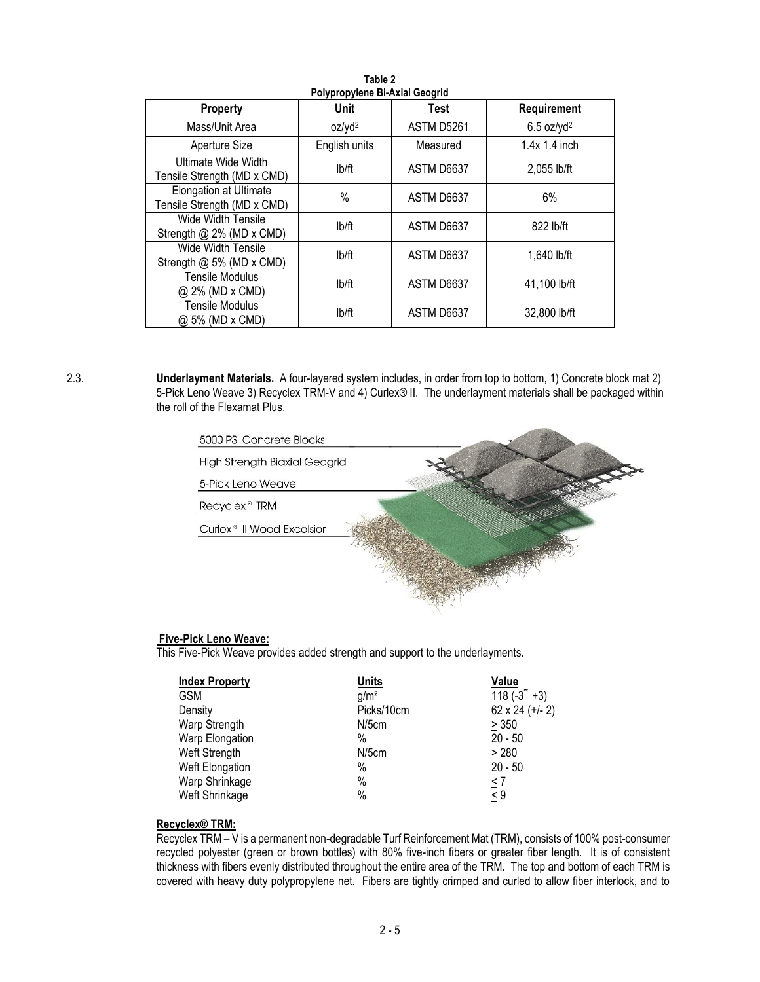| Polypropylene Bi-Axial Geogrid                        |                    |             |                          |
|-------------------------------------------------------|--------------------|-------------|--------------------------|
| Property                                              | Unit               | <b>Test</b> | Requirement              |
| Mass/Unit Area                                        | oz/yd <sup>2</sup> | ASTM D5261  | $6.5$ oz/yd <sup>2</sup> |
| Aperture Size                                         | English units      | Measured    | $1.4x$ 1.4 inch          |
| Ultimate Wide Width<br>Tensile Strength (MD x CMD)    | lb/ft              | ASTM D6637  | 2,055 lb/ft              |
| Elongation at Ultimate<br>Tensile Strength (MD x CMD) | %                  | ASTM D6637  | 6%                       |
| Wide Width Tensile<br>Strength @ 2% (MD x CMD)        | lb/ft              | ASTM D6637  | 822 lb/ft                |
| Wide Width Tensile<br>Strength @ 5% (MD x CMD)        | lb/ft              | ASTM D6637  | 1.640 lb/ft              |
| Tensile Modulus<br>@ 2% (MD x CMD)                    | lb/ft              | ASTM D6637  | 41,100 lb/ft             |
| <b>Tensile Modulus</b><br>@ 5% (MD x CMD)             | lb/ft              | ASTM D6637  | 32,800 lb/ft             |

**Table 2**

2.3. **Underlayment Materials.** A four-layered system includes, in order from top to bottom, 1) Concrete block mat 2) 5-Pick Leno Weave 3) Recyclex TRM-V and 4) Curlex® II. The underlayment materials shall be packaged within the roll of the Flexamat Plus.



#### **Five-Pick Leno Weave:**

This Five-Pick Weave provides added strength and support to the underlayments.

| <b>Index Property</b> | <b>Units</b>     | Value           |
|-----------------------|------------------|-----------------|
| <b>GSM</b>            | q/m <sup>2</sup> | $118(-3^{2}+3)$ |
| Density               | Picks/10cm       | 62 x 24 (+/- 2) |
| Warp Strength         | $N/5$ cm         | > 350           |
| Warp Elongation       | %                | $20 - 50$       |
| Weft Strength         | N/5cm            | > 280           |
| Weft Elongation       | %                | $20 - 50$       |
| Warp Shrinkage        | %                | $\leq 7$        |
| Weft Shrinkage        | %                | $\leq 9$        |

#### **Recyclex® TRM:**

Recyclex TRM – V is a permanent non-degradable Turf Reinforcement Mat (TRM), consists of 100% post-consumer recycled polyester (green or brown bottles) with 80% five-inch fibers or greater fiber length. It is of consistent thickness with fibers evenly distributed throughout the entire area of the TRM. The top and bottom of each TRM is covered with heavy duty polypropylene net. Fibers are tightly crimped and curled to allow fiber interlock, and to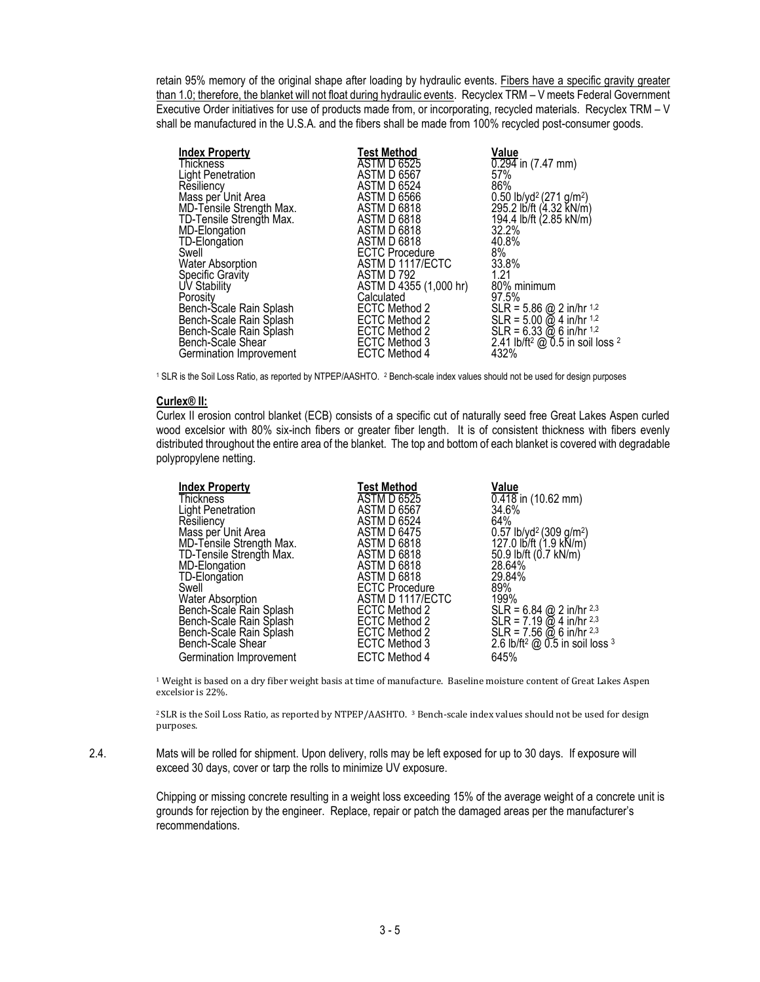retain 95% memory of the original shape after loading by hydraulic events. Fibers have a specific gravity greater than 1.0; therefore, the blanket will not float during hydraulic events. Recyclex TRM – V meets Federal Government Executive Order initiatives for use of products made from, or incorporating, recycled materials. Recyclex TRM – V shall be manufactured in the U.S.A. and the fibers shall be made from 100% recycled post-consumer goods.

| <b>Index Property</b>    | <b>Test Method</b>     | Value                                                                      |
|--------------------------|------------------------|----------------------------------------------------------------------------|
| <b>Thickness</b>         | <b>ASTM D 6525</b>     | $0.294$ in (7.47 mm)                                                       |
| <b>Light Penetration</b> | <b>ASTM D 6567</b>     | 57%                                                                        |
| Resiliency               | <b>ASTM D 6524</b>     | 86%                                                                        |
| Mass per Unit Area       | <b>ASTM D 6566</b>     |                                                                            |
| MD-Tensile Strength Max. | <b>ASTM D 6818</b>     | 0.50 lb/yd <sup>2</sup> (271 g/m <sup>2</sup> )<br>295.2 lb/ft (4.32 kN/m) |
| TD-Tensile Strength Max. | <b>ASTM D 6818</b>     | 194.4 lb/ft (2.85 kN/m)                                                    |
| MD-Elongation            | <b>ASTM D 6818</b>     | 32.2%                                                                      |
| TD-Elongation            | ASTM D 6818            | 40.8%                                                                      |
| Swell                    | <b>ECTC Procedure</b>  | 8%                                                                         |
| <b>Water Absorption</b>  | ASTM D 1117/ECTC       | 33.8%                                                                      |
| Specific Gravity         | ASTM D 792             | 1.21                                                                       |
| UV Stability             | ASTM D 4355 (1,000 hr) | 80% minimum                                                                |
| Porosity                 | Calculated             | 97.5%                                                                      |
|                          | ECTC Method 2          |                                                                            |
| Bench-Scale Rain Splash  |                        | SLR = $5.86$ @ 2 in/hr $1.2$                                               |
| Bench-Scale Rain Splash  | ECTC Method 2          | $SLR = 5.00 \omega 4$ in/hr <sup>1,2</sup>                                 |
| Bench-Scale Rain Splash  | ECTC Method 2          | $SLR = 6.33 \omega 6$ in/hr <sup>1,2</sup>                                 |
| Bench-Scale Shear        | ECTC Method 3          | 2.41 lb/ft <sup>2</sup> @ 0.5 in soil loss <sup>2</sup>                    |
| Germination Improvement  | <b>ECTC Method 4</b>   | 432%                                                                       |

<sup>1</sup> SLR is the Soil Loss Ratio, as reported by NTPEP/AASHTO. <sup>2</sup> Bench-scale index values should not be used for design purposes

#### **Curlex® II:**

Curlex II erosion control blanket (ECB) consists of a specific cut of naturally seed free Great Lakes Aspen curled wood excelsior with 80% six-inch fibers or greater fiber length. It is of consistent thickness with fibers evenly distributed throughout the entire area of the blanket. The top and bottom of each blanket is covered with degradable polypropylene netting.

| <b>Index Property</b>    | Test Method           | Value                                                                                    |
|--------------------------|-----------------------|------------------------------------------------------------------------------------------|
| <b>Thickness</b>         | <b>ASTM D 6525</b>    | $0.418$ in (10.62 mm)                                                                    |
| Light Penetration        | <b>ASTM D 6567</b>    | 34.6%                                                                                    |
| Resiliency               | <b>ASTM D 6524</b>    | 64%                                                                                      |
| Mass per Unit Area       | <b>ASTM D 6475</b>    | $0.57$ lb/yd <sup>2</sup> (309 g/m <sup>2</sup> )                                        |
| MD-Tensile Strength Max. | <b>ASTM D 6818</b>    | 127.0 lb/ft (1.9 kN/m)                                                                   |
| TD-Tensile Strength Max. | <b>ASTM D 6818</b>    | 50.9 lb/ft (0.7 kN/m)                                                                    |
| MD-Elongation            | ASTM D 6818           | 28.64%                                                                                   |
| TD-Elongation            | ASTM D 6818           | 29.84%                                                                                   |
| Swell                    | <b>ECTC Procedure</b> | 89%                                                                                      |
| <b>Water Absorption</b>  | ASTM D 1117/ECTC      | 199%                                                                                     |
| Bench-Scale Rain Splash  | ECTC Method 2         | $SLR = 6.84$ @ 2 in/hr <sup>2,3</sup>                                                    |
| Bench-Scale Rain Splash  | ECTC Method 2         |                                                                                          |
| Bench-Scale Rain Splash  | ECTC Method 2         | SLR = $7.19$ $\odot$ 4 in/hr <sup>2,3</sup><br>SLR = 7.56 $\odot$ 6 in/hr <sup>2,3</sup> |
| Bench-Scale Shear        | ECTC Method 3         | 2.6 lb/ft <sup>2</sup> @ 0.5 in soil loss <sup>3</sup>                                   |
| Germination Improvement  | <b>ECTC Method 4</b>  | 645%                                                                                     |
|                          |                       |                                                                                          |

 $1$  Weight is based on a dry fiber weight basis at time of manufacture. Baseline moisture content of Great Lakes Aspen excelsior is 22%.

<sup>2</sup>SLR is the Soil Loss Ratio, as reported by NTPEP/AASHTO. <sup>3</sup> Bench-scale index values should not be used for design purposes.

2.4. Mats will be rolled for shipment. Upon delivery, rolls may be left exposed for up to 30 days. If exposure will exceed 30 days, cover or tarp the rolls to minimize UV exposure.

> Chipping or missing concrete resulting in a weight loss exceeding 15% of the average weight of a concrete unit is grounds for rejection by the engineer. Replace, repair or patch the damaged areas per the manufacturer's recommendations.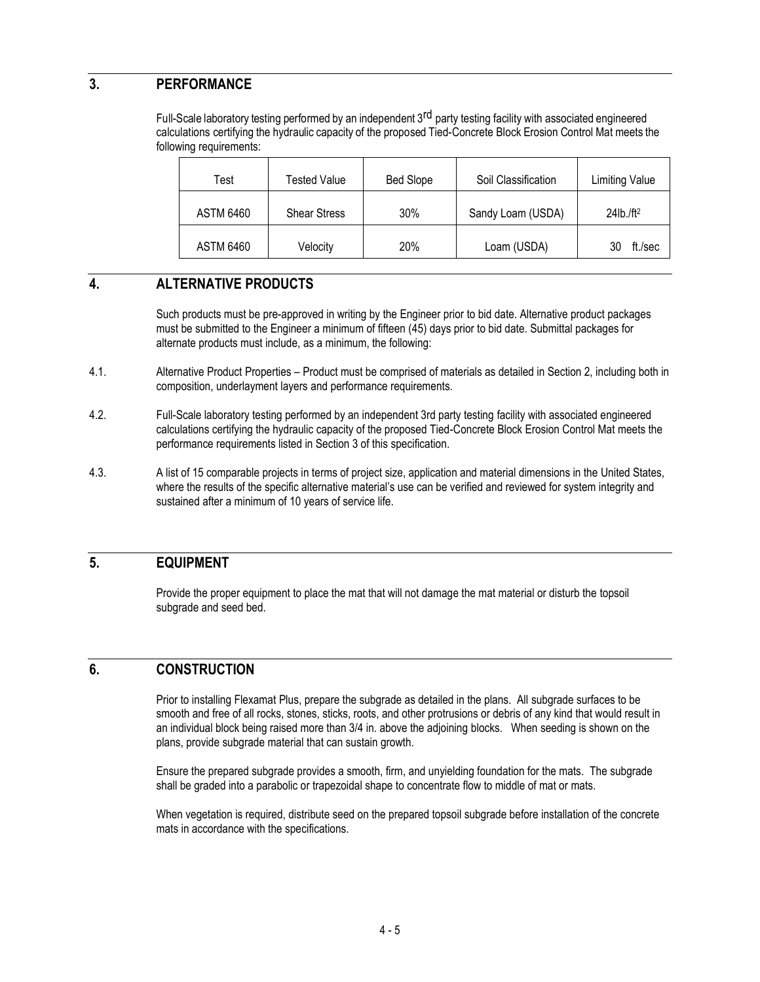### **3. PERFORMANCE**

Full-Scale laboratory testing performed by an independent 3<sup>rd</sup> party testing facility with associated engineered calculations certifying the hydraulic capacity of the proposed Tied-Concrete Block Erosion Control Mat meets the following requirements:

| Test             | Tested Value        | Bed Slope | Soil Classification | <b>Limiting Value</b>    |
|------------------|---------------------|-----------|---------------------|--------------------------|
| <b>ASTM 6460</b> | <b>Shear Stress</b> | 30%       | Sandy Loam (USDA)   | $24$ lb./ft <sup>2</sup> |
| <b>ASTM 6460</b> | Velocity            | 20%       | Loam (USDA)         | ft./sec<br>30            |

#### **4. ALTERNATIVE PRODUCTS**

Such products must be pre-approved in writing by the Engineer prior to bid date. Alternative product packages must be submitted to the Engineer a minimum of fifteen (45) days prior to bid date. Submittal packages for alternate products must include, as a minimum, the following:

- 4.1. Alternative Product Properties Product must be comprised of materials as detailed in Section 2, including both in composition, underlayment layers and performance requirements.
- 4.2. Full-Scale laboratory testing performed by an independent 3rd party testing facility with associated engineered calculations certifying the hydraulic capacity of the proposed Tied-Concrete Block Erosion Control Mat meets the performance requirements listed in Section 3 of this specification.
- 4.3. A list of 15 comparable projects in terms of project size, application and material dimensions in the United States, where the results of the specific alternative material's use can be verified and reviewed for system integrity and sustained after a minimum of 10 years of service life.

#### **5. EQUIPMENT**

Provide the proper equipment to place the mat that will not damage the mat material or disturb the topsoil subgrade and seed bed.

### **6. CONSTRUCTION**

Prior to installing Flexamat Plus, prepare the subgrade as detailed in the plans. All subgrade surfaces to be smooth and free of all rocks, stones, sticks, roots, and other protrusions or debris of any kind that would result in an individual block being raised more than 3/4 in. above the adjoining blocks. When seeding is shown on the plans, provide subgrade material that can sustain growth.

Ensure the prepared subgrade provides a smooth, firm, and unyielding foundation for the mats. The subgrade shall be graded into a parabolic or trapezoidal shape to concentrate flow to middle of mat or mats.

When vegetation is required, distribute seed on the prepared topsoil subgrade before installation of the concrete mats in accordance with the specifications.